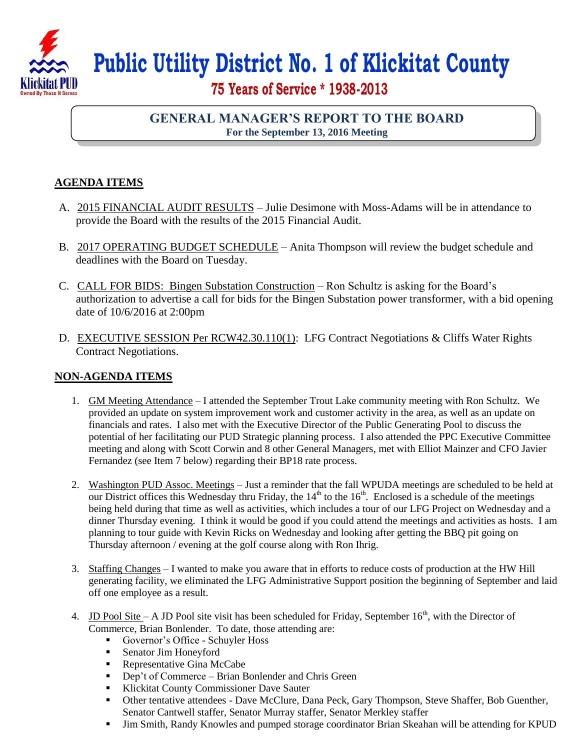

## **Public Utility District No. 1 of Klickitat County**

 **75 Years of Service \* 1938-2013**

## **GENERAL MANAGER'S REPORT TO THE BOARD For the September 13, 2016 Meeting**

## **AGENDA ITEMS**

- A. 2015 FINANCIAL AUDIT RESULTS Julie Desimone with Moss-Adams will be in attendance to provide the Board with the results of the 2015 Financial Audit.
- B. 2017 OPERATING BUDGET SCHEDULE Anita Thompson will review the budget schedule and deadlines with the Board on Tuesday.
- C. CALL FOR BIDS: Bingen Substation Construction Ron Schultz is asking for the Board's authorization to advertise a call for bids for the Bingen Substation power transformer, with a bid opening date of 10/6/2016 at 2:00pm
- D. EXECUTIVE SESSION Per RCW42.30.110(1): LFG Contract Negotiations & Cliffs Water Rights Contract Negotiations.

## **NON-AGENDA ITEMS**

- 1. GM Meeting Attendance I attended the September Trout Lake community meeting with Ron Schultz. We provided an update on system improvement work and customer activity in the area, as well as an update on financials and rates. I also met with the Executive Director of the Public Generating Pool to discuss the potential of her facilitating our PUD Strategic planning process. I also attended the PPC Executive Committee meeting and along with Scott Corwin and 8 other General Managers, met with Elliot Mainzer and CFO Javier Fernandez (see Item 7 below) regarding their BP18 rate process.
- 2. Washington PUD Assoc. Meetings Just a reminder that the fall WPUDA meetings are scheduled to be held at our District offices this Wednesday thru Friday, the  $14<sup>th</sup>$  to the  $16<sup>th</sup>$ . Enclosed is a schedule of the meetings being held during that time as well as activities, which includes a tour of our LFG Project on Wednesday and a dinner Thursday evening. I think it would be good if you could attend the meetings and activities as hosts. I am planning to tour guide with Kevin Ricks on Wednesday and looking after getting the BBQ pit going on Thursday afternoon / evening at the golf course along with Ron Ihrig.
- 3. Staffing Changes I wanted to make you aware that in efforts to reduce costs of production at the HW Hill generating facility, we eliminated the LFG Administrative Support position the beginning of September and laid off one employee as a result.
- 4. ID Pool Site A JD Pool site visit has been scheduled for Friday, September  $16<sup>th</sup>$ , with the Director of Commerce, Brian Bonlender. To date, those attending are:
	- Governor's Office Schuyler Hoss
	- Senator Jim Honeyford
	- Representative Gina McCabe
	- **•** Dep't of Commerce Brian Bonlender and Chris Green
	- Klickitat County Commissioner Dave Sauter
	- Other tentative attendees Dave McClure, Dana Peck, Gary Thompson, Steve Shaffer, Bob Guenther, Senator Cantwell staffer, Senator Murray staffer, Senator Merkley staffer
	- Jim Smith, Randy Knowles and pumped storage coordinator Brian Skeahan will be attending for KPUD